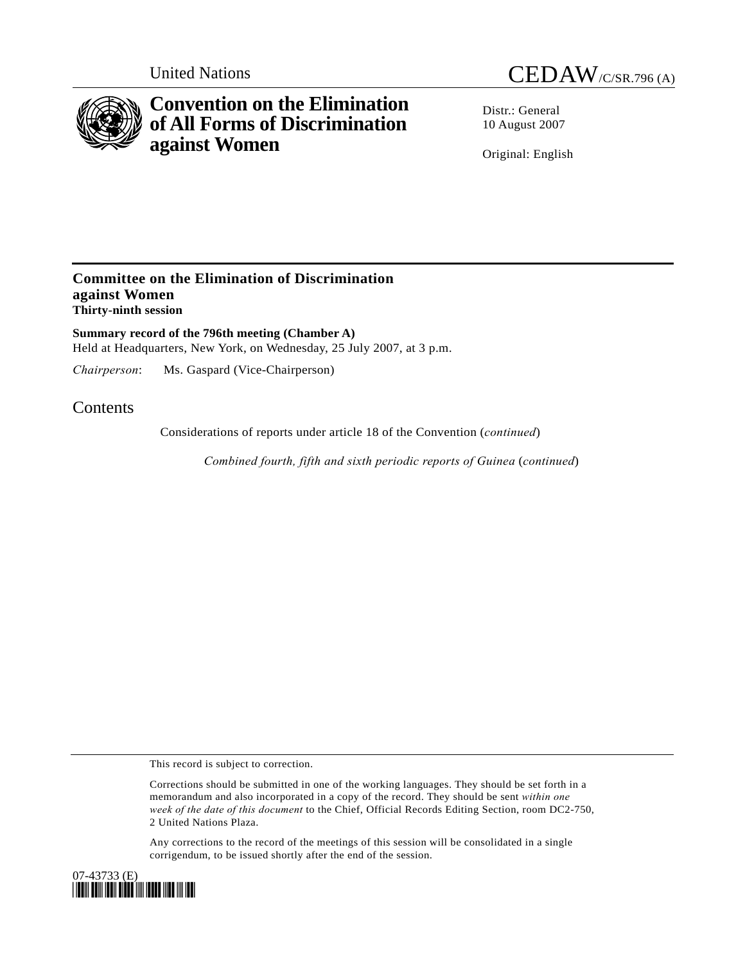

# **Convention on the Elimination of All Forms of Discrimination against Women**

United Nations CEDAW/C/SR.796 (A)

Distr · General 10 August 2007

Original: English

## **Committee on the Elimination of Discrimination against Women Thirty-ninth session**

**Summary record of the 796th meeting (Chamber A)**  Held at Headquarters, New York, on Wednesday, 25 July 2007, at 3 p.m.

*Chairperson*: Ms. Gaspard (Vice-Chairperson)

# **Contents**

Considerations of reports under article 18 of the Convention (*continued*)

 *Combined fourth, fifth and sixth periodic reports of Guinea* (*continued*)

This record is subject to correction.

Corrections should be submitted in one of the working languages. They should be set forth in a memorandum and also incorporated in a copy of the record. They should be sent *within one week of the date of this document* to the Chief, Official Records Editing Section, room DC2-750, 2 United Nations Plaza.

Any corrections to the record of the meetings of this session will be consolidated in a single corrigendum, to be issued shortly after the end of the session.

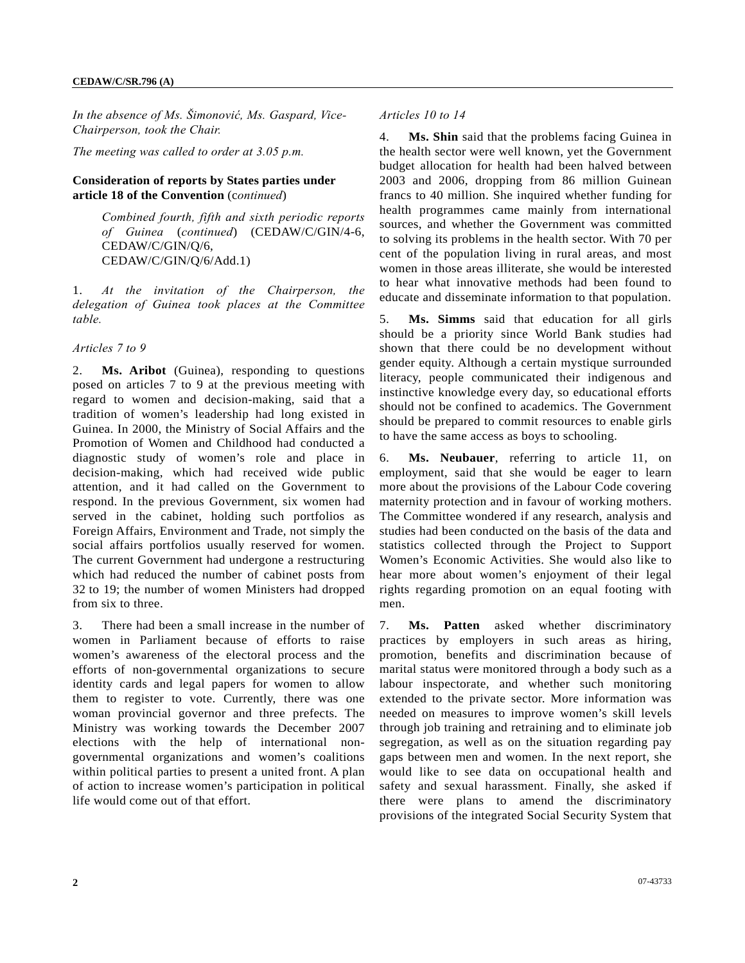*In the absence of Ms. Šimonović, Ms. Gaspard, Vice-Chairperson, took the Chair.* 

*The meeting was called to order at 3.05 p.m.* 

#### **Consideration of reports by States parties under article 18 of the Convention** (c*ontinued*)

*Combined fourth, fifth and sixth periodic reports of Guinea* (*continued*) (CEDAW/C/GIN/4-6, CEDAW/C/GIN/Q/6, CEDAW/C/GIN/Q/6/Add.1)

1. *At the invitation of the Chairperson, the delegation of Guinea took places at the Committee table.* 

### *Articles 7 to 9*

2. **Ms. Aribot** (Guinea), responding to questions posed on articles 7 to 9 at the previous meeting with regard to women and decision-making, said that a tradition of women's leadership had long existed in Guinea. In 2000, the Ministry of Social Affairs and the Promotion of Women and Childhood had conducted a diagnostic study of women's role and place in decision-making, which had received wide public attention, and it had called on the Government to respond. In the previous Government, six women had served in the cabinet, holding such portfolios as Foreign Affairs, Environment and Trade, not simply the social affairs portfolios usually reserved for women. The current Government had undergone a restructuring which had reduced the number of cabinet posts from 32 to 19; the number of women Ministers had dropped from six to three.

3. There had been a small increase in the number of women in Parliament because of efforts to raise women's awareness of the electoral process and the efforts of non-governmental organizations to secure identity cards and legal papers for women to allow them to register to vote. Currently, there was one woman provincial governor and three prefects. The Ministry was working towards the December 2007 elections with the help of international nongovernmental organizations and women's coalitions within political parties to present a united front. A plan of action to increase women's participation in political life would come out of that effort.

#### *Articles 10 to 14*

4. **Ms. Shin** said that the problems facing Guinea in the health sector were well known, yet the Government budget allocation for health had been halved between 2003 and 2006, dropping from 86 million Guinean francs to 40 million. She inquired whether funding for health programmes came mainly from international sources, and whether the Government was committed to solving its problems in the health sector. With 70 per cent of the population living in rural areas, and most women in those areas illiterate, she would be interested to hear what innovative methods had been found to educate and disseminate information to that population.

5. **Ms. Simms** said that education for all girls should be a priority since World Bank studies had shown that there could be no development without gender equity. Although a certain mystique surrounded literacy, people communicated their indigenous and instinctive knowledge every day, so educational efforts should not be confined to academics. The Government should be prepared to commit resources to enable girls to have the same access as boys to schooling.

6. **Ms. Neubauer**, referring to article 11, on employment, said that she would be eager to learn more about the provisions of the Labour Code covering maternity protection and in favour of working mothers. The Committee wondered if any research, analysis and studies had been conducted on the basis of the data and statistics collected through the Project to Support Women's Economic Activities. She would also like to hear more about women's enjoyment of their legal rights regarding promotion on an equal footing with men.

7. **Ms. Patten** asked whether discriminatory practices by employers in such areas as hiring, promotion, benefits and discrimination because of marital status were monitored through a body such as a labour inspectorate, and whether such monitoring extended to the private sector. More information was needed on measures to improve women's skill levels through job training and retraining and to eliminate job segregation, as well as on the situation regarding pay gaps between men and women. In the next report, she would like to see data on occupational health and safety and sexual harassment. Finally, she asked if there were plans to amend the discriminatory provisions of the integrated Social Security System that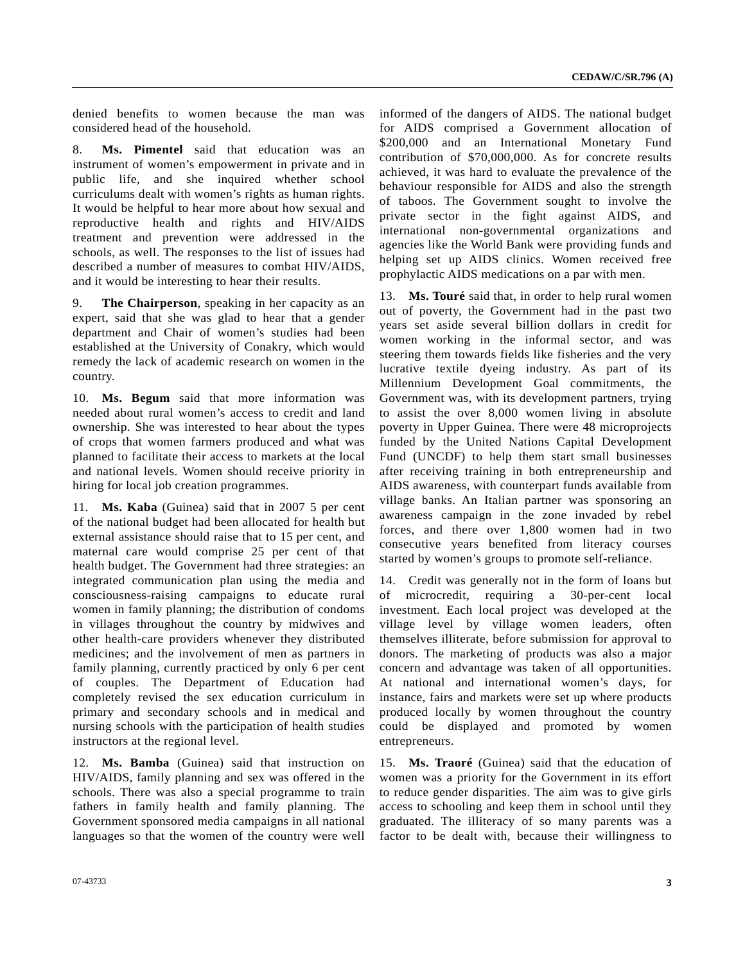denied benefits to women because the man was considered head of the household.

8. **Ms. Pimentel** said that education was an instrument of women's empowerment in private and in public life, and she inquired whether school curriculums dealt with women's rights as human rights. It would be helpful to hear more about how sexual and reproductive health and rights and HIV/AIDS treatment and prevention were addressed in the schools, as well. The responses to the list of issues had described a number of measures to combat HIV/AIDS, and it would be interesting to hear their results.

9. **The Chairperson**, speaking in her capacity as an expert, said that she was glad to hear that a gender department and Chair of women's studies had been established at the University of Conakry, which would remedy the lack of academic research on women in the country.

10. **Ms. Begum** said that more information was needed about rural women's access to credit and land ownership. She was interested to hear about the types of crops that women farmers produced and what was planned to facilitate their access to markets at the local and national levels. Women should receive priority in hiring for local job creation programmes.

11. **Ms. Kaba** (Guinea) said that in 2007 5 per cent of the national budget had been allocated for health but external assistance should raise that to 15 per cent, and maternal care would comprise 25 per cent of that health budget. The Government had three strategies: an integrated communication plan using the media and consciousness-raising campaigns to educate rural women in family planning; the distribution of condoms in villages throughout the country by midwives and other health-care providers whenever they distributed medicines; and the involvement of men as partners in family planning, currently practiced by only 6 per cent of couples. The Department of Education had completely revised the sex education curriculum in primary and secondary schools and in medical and nursing schools with the participation of health studies instructors at the regional level.

12. **Ms. Bamba** (Guinea) said that instruction on HIV/AIDS, family planning and sex was offered in the schools. There was also a special programme to train fathers in family health and family planning. The Government sponsored media campaigns in all national languages so that the women of the country were well informed of the dangers of AIDS. The national budget for AIDS comprised a Government allocation of \$200,000 and an International Monetary Fund contribution of \$70,000,000. As for concrete results achieved, it was hard to evaluate the prevalence of the behaviour responsible for AIDS and also the strength of taboos. The Government sought to involve the private sector in the fight against AIDS, and international non-governmental organizations and agencies like the World Bank were providing funds and helping set up AIDS clinics. Women received free prophylactic AIDS medications on a par with men.

13. **Ms. Touré** said that, in order to help rural women out of poverty, the Government had in the past two years set aside several billion dollars in credit for women working in the informal sector, and was steering them towards fields like fisheries and the very lucrative textile dyeing industry. As part of its Millennium Development Goal commitments, the Government was, with its development partners, trying to assist the over 8,000 women living in absolute poverty in Upper Guinea. There were 48 microprojects funded by the United Nations Capital Development Fund (UNCDF) to help them start small businesses after receiving training in both entrepreneurship and AIDS awareness, with counterpart funds available from village banks. An Italian partner was sponsoring an awareness campaign in the zone invaded by rebel forces, and there over 1,800 women had in two consecutive years benefited from literacy courses started by women's groups to promote self-reliance.

14. Credit was generally not in the form of loans but of microcredit, requiring a 30-per-cent local investment. Each local project was developed at the village level by village women leaders, often themselves illiterate, before submission for approval to donors. The marketing of products was also a major concern and advantage was taken of all opportunities. At national and international women's days, for instance, fairs and markets were set up where products produced locally by women throughout the country could be displayed and promoted by women entrepreneurs.

15. **Ms. Traoré** (Guinea) said that the education of women was a priority for the Government in its effort to reduce gender disparities. The aim was to give girls access to schooling and keep them in school until they graduated. The illiteracy of so many parents was a factor to be dealt with, because their willingness to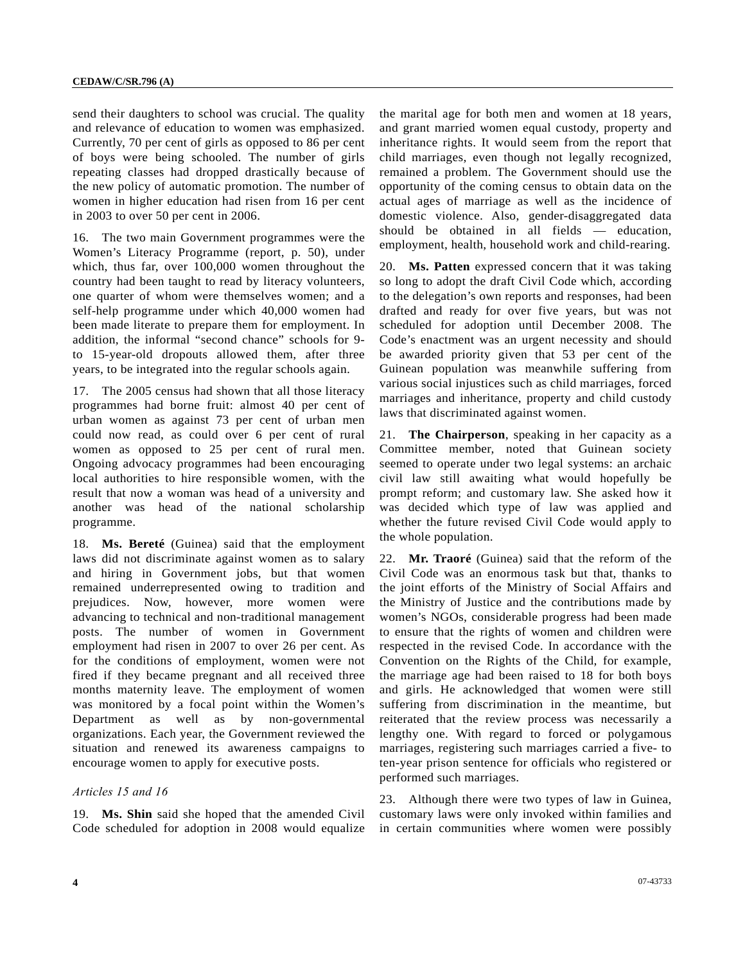send their daughters to school was crucial. The quality and relevance of education to women was emphasized. Currently, 70 per cent of girls as opposed to 86 per cent of boys were being schooled. The number of girls repeating classes had dropped drastically because of the new policy of automatic promotion. The number of women in higher education had risen from 16 per cent in 2003 to over 50 per cent in 2006.

16. The two main Government programmes were the Women's Literacy Programme (report, p. 50), under which, thus far, over 100,000 women throughout the country had been taught to read by literacy volunteers, one quarter of whom were themselves women; and a self-help programme under which 40,000 women had been made literate to prepare them for employment. In addition, the informal "second chance" schools for 9 to 15-year-old dropouts allowed them, after three years, to be integrated into the regular schools again.

17. The 2005 census had shown that all those literacy programmes had borne fruit: almost 40 per cent of urban women as against 73 per cent of urban men could now read, as could over 6 per cent of rural women as opposed to 25 per cent of rural men. Ongoing advocacy programmes had been encouraging local authorities to hire responsible women, with the result that now a woman was head of a university and another was head of the national scholarship programme.

18. **Ms. Bereté** (Guinea) said that the employment laws did not discriminate against women as to salary and hiring in Government jobs, but that women remained underrepresented owing to tradition and prejudices. Now, however, more women were advancing to technical and non-traditional management posts. The number of women in Government employment had risen in 2007 to over 26 per cent. As for the conditions of employment, women were not fired if they became pregnant and all received three months maternity leave. The employment of women was monitored by a focal point within the Women's Department as well as by non-governmental organizations. Each year, the Government reviewed the situation and renewed its awareness campaigns to encourage women to apply for executive posts.

#### *Articles 15 and 16*

19. **Ms. Shin** said she hoped that the amended Civil Code scheduled for adoption in 2008 would equalize the marital age for both men and women at 18 years, and grant married women equal custody, property and inheritance rights. It would seem from the report that child marriages, even though not legally recognized, remained a problem. The Government should use the opportunity of the coming census to obtain data on the actual ages of marriage as well as the incidence of domestic violence. Also, gender-disaggregated data should be obtained in all fields — education, employment, health, household work and child-rearing.

20. **Ms. Patten** expressed concern that it was taking so long to adopt the draft Civil Code which, according to the delegation's own reports and responses, had been drafted and ready for over five years, but was not scheduled for adoption until December 2008. The Code's enactment was an urgent necessity and should be awarded priority given that 53 per cent of the Guinean population was meanwhile suffering from various social injustices such as child marriages, forced marriages and inheritance, property and child custody laws that discriminated against women.

21. **The Chairperson**, speaking in her capacity as a Committee member, noted that Guinean society seemed to operate under two legal systems: an archaic civil law still awaiting what would hopefully be prompt reform; and customary law. She asked how it was decided which type of law was applied and whether the future revised Civil Code would apply to the whole population.

22. **Mr. Traoré** (Guinea) said that the reform of the Civil Code was an enormous task but that, thanks to the joint efforts of the Ministry of Social Affairs and the Ministry of Justice and the contributions made by women's NGOs, considerable progress had been made to ensure that the rights of women and children were respected in the revised Code. In accordance with the Convention on the Rights of the Child, for example, the marriage age had been raised to 18 for both boys and girls. He acknowledged that women were still suffering from discrimination in the meantime, but reiterated that the review process was necessarily a lengthy one. With regard to forced or polygamous marriages, registering such marriages carried a five- to ten-year prison sentence for officials who registered or performed such marriages.

23. Although there were two types of law in Guinea, customary laws were only invoked within families and in certain communities where women were possibly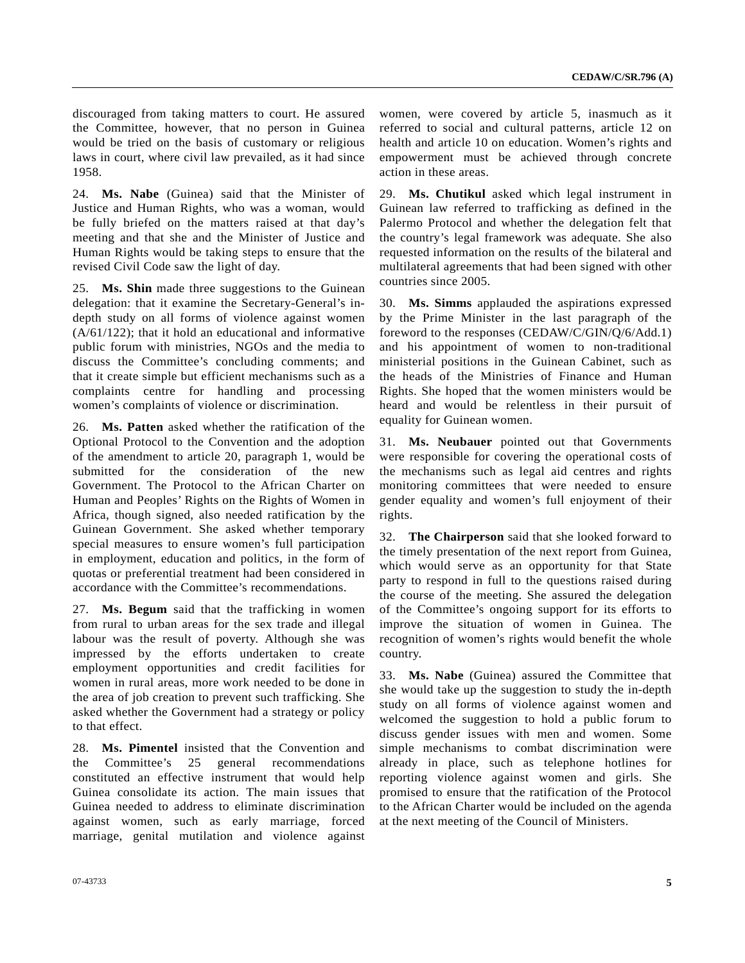discouraged from taking matters to court. He assured the Committee, however, that no person in Guinea would be tried on the basis of customary or religious laws in court, where civil law prevailed, as it had since 1958.

24. **Ms. Nabe** (Guinea) said that the Minister of Justice and Human Rights, who was a woman, would be fully briefed on the matters raised at that day's meeting and that she and the Minister of Justice and Human Rights would be taking steps to ensure that the revised Civil Code saw the light of day.

25. **Ms. Shin** made three suggestions to the Guinean delegation: that it examine the Secretary-General's indepth study on all forms of violence against women (A/61/122); that it hold an educational and informative public forum with ministries, NGOs and the media to discuss the Committee's concluding comments; and that it create simple but efficient mechanisms such as a complaints centre for handling and processing women's complaints of violence or discrimination.

26. **Ms. Patten** asked whether the ratification of the Optional Protocol to the Convention and the adoption of the amendment to article 20, paragraph 1, would be submitted for the consideration of the new Government. The Protocol to the African Charter on Human and Peoples' Rights on the Rights of Women in Africa, though signed, also needed ratification by the Guinean Government. She asked whether temporary special measures to ensure women's full participation in employment, education and politics, in the form of quotas or preferential treatment had been considered in accordance with the Committee's recommendations.

27. **Ms. Begum** said that the trafficking in women from rural to urban areas for the sex trade and illegal labour was the result of poverty. Although she was impressed by the efforts undertaken to create employment opportunities and credit facilities for women in rural areas, more work needed to be done in the area of job creation to prevent such trafficking. She asked whether the Government had a strategy or policy to that effect.

28. **Ms. Pimentel** insisted that the Convention and the Committee's 25 general recommendations constituted an effective instrument that would help Guinea consolidate its action. The main issues that Guinea needed to address to eliminate discrimination against women, such as early marriage, forced marriage, genital mutilation and violence against

women, were covered by article 5, inasmuch as it referred to social and cultural patterns, article 12 on health and article 10 on education. Women's rights and empowerment must be achieved through concrete action in these areas.

29. **Ms. Chutikul** asked which legal instrument in Guinean law referred to trafficking as defined in the Palermo Protocol and whether the delegation felt that the country's legal framework was adequate. She also requested information on the results of the bilateral and multilateral agreements that had been signed with other countries since 2005.

30. **Ms. Simms** applauded the aspirations expressed by the Prime Minister in the last paragraph of the foreword to the responses (CEDAW/C/GIN/Q/6/Add.1) and his appointment of women to non-traditional ministerial positions in the Guinean Cabinet, such as the heads of the Ministries of Finance and Human Rights. She hoped that the women ministers would be heard and would be relentless in their pursuit of equality for Guinean women.

31. **Ms. Neubauer** pointed out that Governments were responsible for covering the operational costs of the mechanisms such as legal aid centres and rights monitoring committees that were needed to ensure gender equality and women's full enjoyment of their rights.

32. **The Chairperson** said that she looked forward to the timely presentation of the next report from Guinea, which would serve as an opportunity for that State party to respond in full to the questions raised during the course of the meeting. She assured the delegation of the Committee's ongoing support for its efforts to improve the situation of women in Guinea. The recognition of women's rights would benefit the whole country.

33. **Ms. Nabe** (Guinea) assured the Committee that she would take up the suggestion to study the in-depth study on all forms of violence against women and welcomed the suggestion to hold a public forum to discuss gender issues with men and women. Some simple mechanisms to combat discrimination were already in place, such as telephone hotlines for reporting violence against women and girls. She promised to ensure that the ratification of the Protocol to the African Charter would be included on the agenda at the next meeting of the Council of Ministers.